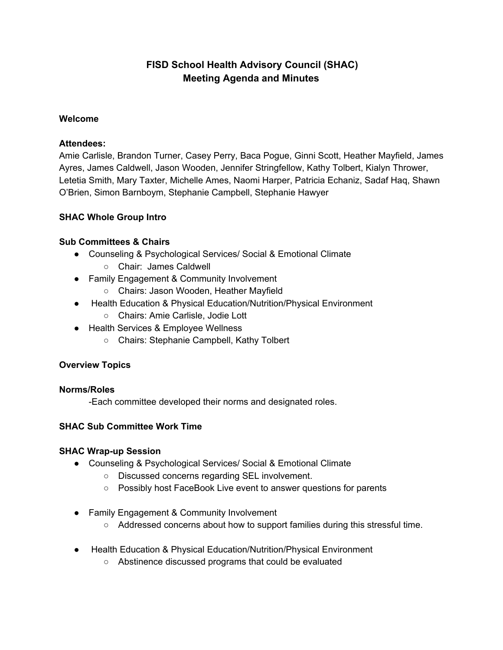# **FISD School Health Advisory Council (SHAC) Meeting Agenda and Minutes**

#### **Welcome**

### **Attendees:**

Amie Carlisle, Brandon Turner, Casey Perry, Baca Pogue, Ginni Scott, Heather Mayfield, James Ayres, James Caldwell, Jason Wooden, Jennifer Stringfellow, Kathy Tolbert, Kialyn Thrower, Letetia Smith, Mary Taxter, Michelle Ames, Naomi Harper, Patricia Echaniz, Sadaf Haq, Shawn O'Brien, Simon Barnboym, Stephanie Campbell, Stephanie Hawyer

## **SHAC Whole Group Intro**

## **Sub Committees & Chairs**

- Counseling & Psychological Services/ Social & Emotional Climate
	- Chair: James Caldwell
- Family Engagement & Community Involvement
	- Chairs: Jason Wooden, Heather Mayfield
- Health Education & Physical Education/Nutrition/Physical Environment
	- Chairs: Amie Carlisle, Jodie Lott
- Health Services & Employee Wellness
	- Chairs: Stephanie Campbell, Kathy Tolbert

### **Overview Topics**

### **Norms/Roles**

-Each committee developed their norms and designated roles.

### **SHAC Sub Committee Work Time**

### **SHAC Wrap-up Session**

- Counseling & Psychological Services/ Social & Emotional Climate
	- Discussed concerns regarding SEL involvement.
	- Possibly host FaceBook Live event to answer questions for parents
- Family Engagement & Community Involvement
	- Addressed concerns about how to support families during this stressful time.
- Health Education & Physical Education/Nutrition/Physical Environment
	- Abstinence discussed programs that could be evaluated